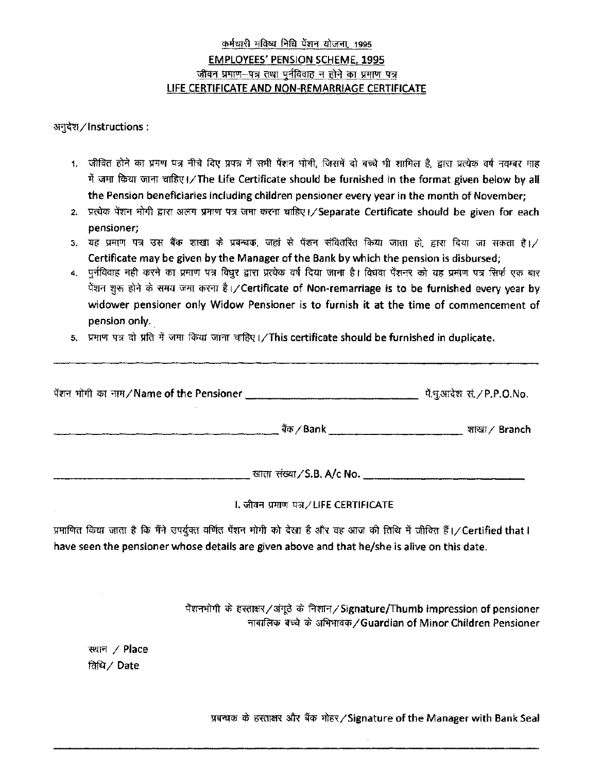## कर्मचारी भविष्य निधि पेंशन योजना, 1995 EMPLOYEES' PENSION SCHEME, 1995 जीवन प्रमाण-पत्र तथा पुर्नविवाह न होने का प्रमाण पत्र LIFE CERTIFICATE AND NON-REMARRIAGE CERTIFICATE

अनुदेश / Instructions :

- 1. जीवित होने का प्रमण पत्र नीचे दिए प्रपत्र में सभी पेंशन भोगी, जिसमें दो बच्चे भी शामिल है, द्वारा प्रत्येक वर्ष नवम्बर माह में जमा किया जाना चाहिए।/The Life Certificate should be furnished in the format given below by all the Pension beneficiaries including children pensioner every year in the month of November;
- 2. प्रत्येक पेंशन भोगी द्वारा अलग प्रमाण पत्र जमा करना चाहिए। / Separate Certificate should be given for each pensioner;
- 3. यह प्रमाण पत्र उस बैंक शाखा के प्रबन्धक, जहां से पेंशन संवितरित किया जाता हो, द्वारा दिया जा सकता है। ⁄ Certificate may be given by the Manager of the Bank by which the pension is disbursed;
- 4. पुर्नविवाह नहीं करने का प्रमाण पत्र विधुर द्वारा प्रत्येक वर्ष दिया जाना है। विधवा पेंशनर को यह प्रमाण पत्र सिर्फ एक बार पेंशन शुरू होने के समय जमा करना है।/Certificate of Non-remarriage is to be furnished every year by widower pensioner only Widow Pensioner is to furnish it at the time of commencement of pension only.
- 5. प्रमाण पत्र दो प्रति में जमा किया जाना चाहिए।/This certificate should be furnished in duplicate.

| पेंशन भोगी का नाम/Name of the Pensioner |                                   | पें.भुआदेश सं./P.P.O.No. |
|-----------------------------------------|-----------------------------------|--------------------------|
|                                         | बैंक ∕ Bank ।                     | <i>যা</i> য়ে ∕ Branch   |
|                                         | खाता संख्या $\angle$ S.B. A/c No. |                          |

## I. जीवन प्रमाण पत्र / LIFE CERTIFICATE

प्रमाणित किया जाता है कि मैंने उपर्युक्त वर्णित पेंशन भोगी को देखा है और वह आज की तिथि में जीवित हैं।/Certified that I have seen the pensioner whose details are given above and that he/she is alive on this date.

> पेंशनभोगी के हस्ताक्षर/अंगूठे के निशान/Signature/Thumb impression of pensioner नाबालिक बच्चे के अभिभावक/Guardian of Minor Children Pensioner

*~ I* Place *~I* Date

प्रबन्धक के हस्ताक्षर और बैंक मोहर/Signature of the Manager with Bank Seal